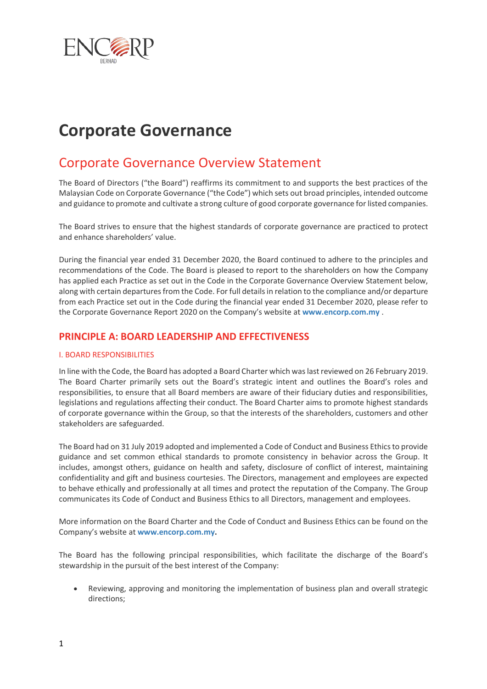

# **Corporate Governance**

# Corporate Governance Overview Statement

The Board of Directors ("the Board") reaffirms its commitment to and supports the best practices of the Malaysian Code on Corporate Governance ("the Code") which sets out broad principles, intended outcome and guidance to promote and cultivate a strong culture of good corporate governance for listed companies.

The Board strives to ensure that the highest standards of corporate governance are practiced to protect and enhance shareholders' value.

During the financial year ended 31 December 2020, the Board continued to adhere to the principles and recommendations of the Code. The Board is pleased to report to the shareholders on how the Company has applied each Practice as set out in the Code in the Corporate Governance Overview Statement below, along with certain departures from the Code. For full details in relation to the compliance and/or departure from each Practice set out in the Code during the financial year ended 31 December 2020, please refer to the Corporate Governance Report 2020 on the Company's website at **[www.encorp.com.my](http://www.encorp.com.my/)** .

## **PRINCIPLE A: BOARD LEADERSHIP AND EFFECTIVENESS**

#### I. BOARD RESPONSIBILITIES

In line with the Code, the Board has adopted a Board Charter which was last reviewed on 26 February 2019. The Board Charter primarily sets out the Board's strategic intent and outlines the Board's roles and responsibilities, to ensure that all Board members are aware of their fiduciary duties and responsibilities, legislations and regulations affecting their conduct. The Board Charter aims to promote highest standards of corporate governance within the Group, so that the interests of the shareholders, customers and other stakeholders are safeguarded.

The Board had on 31 July 2019 adopted and implemented a Code of Conduct and Business Ethics to provide guidance and set common ethical standards to promote consistency in behavior across the Group. It includes, amongst others, guidance on health and safety, disclosure of conflict of interest, maintaining confidentiality and gift and business courtesies. The Directors, management and employees are expected to behave ethically and professionally at all times and protect the reputation of the Company. The Group communicates its Code of Conduct and Business Ethics to all Directors, management and employees.

More information on the Board Charter and the Code of Conduct and Business Ethics can be found on the Company's website at **[www.encorp.com.my.](http://www.encorp.com.my/)**

The Board has the following principal responsibilities, which facilitate the discharge of the Board's stewardship in the pursuit of the best interest of the Company:

 Reviewing, approving and monitoring the implementation of business plan and overall strategic directions;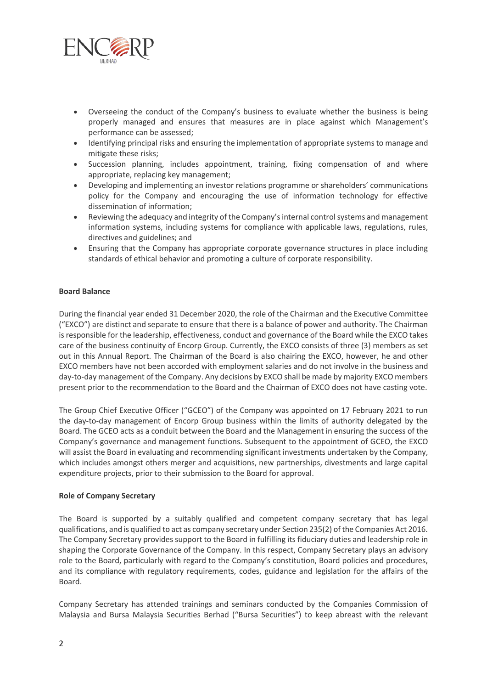

- Overseeing the conduct of the Company's business to evaluate whether the business is being properly managed and ensures that measures are in place against which Management's performance can be assessed;
- Identifying principal risks and ensuring the implementation of appropriate systems to manage and mitigate these risks;
- Succession planning, includes appointment, training, fixing compensation of and where appropriate, replacing key management;
- Developing and implementing an investor relations programme or shareholders' communications policy for the Company and encouraging the use of information technology for effective dissemination of information;
- Reviewing the adequacy and integrity of the Company's internal control systems and management information systems, including systems for compliance with applicable laws, regulations, rules, directives and guidelines; and
- Ensuring that the Company has appropriate corporate governance structures in place including standards of ethical behavior and promoting a culture of corporate responsibility.

#### **Board Balance**

During the financial year ended 31 December 2020, the role of the Chairman and the Executive Committee ("EXCO") are distinct and separate to ensure that there is a balance of power and authority. The Chairman is responsible for the leadership, effectiveness, conduct and governance of the Board while the EXCO takes care of the business continuity of Encorp Group. Currently, the EXCO consists of three (3) members as set out in this Annual Report. The Chairman of the Board is also chairing the EXCO, however, he and other EXCO members have not been accorded with employment salaries and do not involve in the business and day-to-day management of the Company. Any decisions by EXCO shall be made by majority EXCO members present prior to the recommendation to the Board and the Chairman of EXCO does not have casting vote.

The Group Chief Executive Officer ("GCEO") of the Company was appointed on 17 February 2021 to run the day-to-day management of Encorp Group business within the limits of authority delegated by the Board. The GCEO acts as a conduit between the Board and the Management in ensuring the success of the Company's governance and management functions. Subsequent to the appointment of GCEO, the EXCO will assist the Board in evaluating and recommending significant investments undertaken by the Company, which includes amongst others merger and acquisitions, new partnerships, divestments and large capital expenditure projects, prior to their submission to the Board for approval.

#### **Role of Company Secretary**

The Board is supported by a suitably qualified and competent company secretary that has legal qualifications, and is qualified to act as company secretary under Section 235(2) of the Companies Act 2016. The Company Secretary provides support to the Board in fulfilling its fiduciary duties and leadership role in shaping the Corporate Governance of the Company. In this respect, Company Secretary plays an advisory role to the Board, particularly with regard to the Company's constitution, Board policies and procedures, and its compliance with regulatory requirements, codes, guidance and legislation for the affairs of the Board.

Company Secretary has attended trainings and seminars conducted by the Companies Commission of Malaysia and Bursa Malaysia Securities Berhad ("Bursa Securities") to keep abreast with the relevant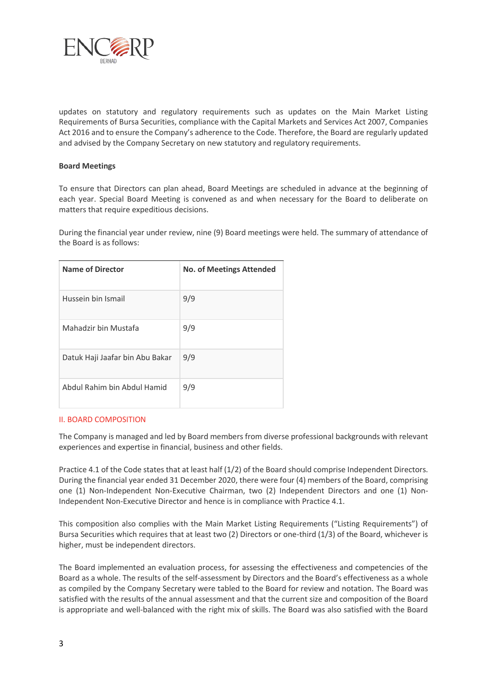

updates on statutory and regulatory requirements such as updates on the Main Market Listing Requirements of Bursa Securities, compliance with the Capital Markets and Services Act 2007, Companies Act 2016 and to ensure the Company's adherence to the Code. Therefore, the Board are regularly updated and advised by the Company Secretary on new statutory and regulatory requirements.

#### **Board Meetings**

To ensure that Directors can plan ahead, Board Meetings are scheduled in advance at the beginning of each year. Special Board Meeting is convened as and when necessary for the Board to deliberate on matters that require expeditious decisions.

During the financial year under review, nine (9) Board meetings were held. The summary of attendance of the Board is as follows:

| <b>Name of Director</b>         | <b>No. of Meetings Attended</b> |
|---------------------------------|---------------------------------|
| Hussein bin Ismail              | 9/9                             |
| Mahadzir bin Mustafa            | 9/9                             |
| Datuk Haji Jaafar bin Abu Bakar | 9/9                             |
| Abdul Rahim bin Abdul Hamid     | 9/9                             |

#### II. BOARD COMPOSITION

The Company is managed and led by Board members from diverse professional backgrounds with relevant experiences and expertise in financial, business and other fields.

Practice 4.1 of the Code states that at least half (1/2) of the Board should comprise Independent Directors. During the financial year ended 31 December 2020, there were four (4) members of the Board, comprising one (1) Non-Independent Non-Executive Chairman, two (2) Independent Directors and one (1) Non-Independent Non-Executive Director and hence is in compliance with Practice 4.1.

This composition also complies with the Main Market Listing Requirements ("Listing Requirements") of Bursa Securities which requires that at least two (2) Directors or one-third (1/3) of the Board, whichever is higher, must be independent directors.

The Board implemented an evaluation process, for assessing the effectiveness and competencies of the Board as a whole. The results of the self-assessment by Directors and the Board's effectiveness as a whole as compiled by the Company Secretary were tabled to the Board for review and notation. The Board was satisfied with the results of the annual assessment and that the current size and composition of the Board is appropriate and well-balanced with the right mix of skills. The Board was also satisfied with the Board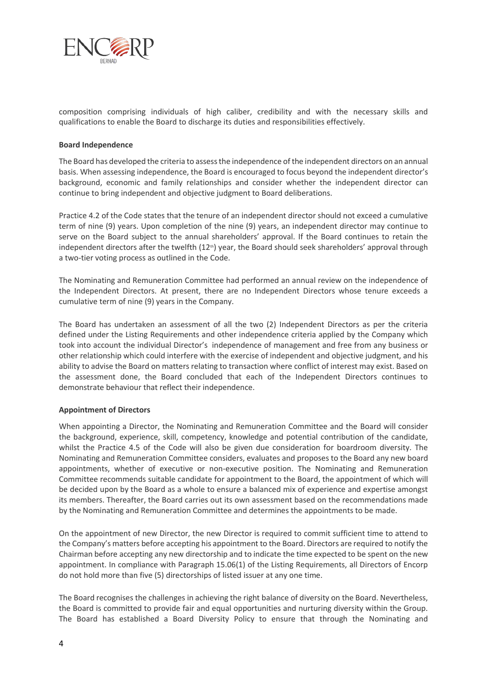

composition comprising individuals of high caliber, credibility and with the necessary skills and qualifications to enable the Board to discharge its duties and responsibilities effectively.

#### **Board Independence**

The Board has developed the criteria to assess the independence of the independent directors on an annual basis. When assessing independence, the Board is encouraged to focus beyond the independent director's background, economic and family relationships and consider whether the independent director can continue to bring independent and objective judgment to Board deliberations.

Practice 4.2 of the Code states that the tenure of an independent director should not exceed a cumulative term of nine (9) years. Upon completion of the nine (9) years, an independent director may continue to serve on the Board subject to the annual shareholders' approval. If the Board continues to retain the independent directors after the twelfth (12<sup>th</sup>) year, the Board should seek shareholders' approval through a two-tier voting process as outlined in the Code.

The Nominating and Remuneration Committee had performed an annual review on the independence of the Independent Directors. At present, there are no Independent Directors whose tenure exceeds a cumulative term of nine (9) years in the Company.

The Board has undertaken an assessment of all the two (2) Independent Directors as per the criteria defined under the Listing Requirements and other independence criteria applied by the Company which took into account the individual Director's independence of management and free from any business or other relationship which could interfere with the exercise of independent and objective judgment, and his ability to advise the Board on matters relating to transaction where conflict of interest may exist. Based on the assessment done, the Board concluded that each of the Independent Directors continues to demonstrate behaviour that reflect their independence.

#### **Appointment of Directors**

When appointing a Director, the Nominating and Remuneration Committee and the Board will consider the background, experience, skill, competency, knowledge and potential contribution of the candidate, whilst the Practice 4.5 of the Code will also be given due consideration for boardroom diversity. The Nominating and Remuneration Committee considers, evaluates and proposes to the Board any new board appointments, whether of executive or non-executive position. The Nominating and Remuneration Committee recommends suitable candidate for appointment to the Board, the appointment of which will be decided upon by the Board as a whole to ensure a balanced mix of experience and expertise amongst its members. Thereafter, the Board carries out its own assessment based on the recommendations made by the Nominating and Remuneration Committee and determines the appointments to be made.

On the appointment of new Director, the new Director is required to commit sufficient time to attend to the Company's matters before accepting his appointment to the Board. Directors are required to notify the Chairman before accepting any new directorship and to indicate the time expected to be spent on the new appointment. In compliance with Paragraph 15.06(1) of the Listing Requirements, all Directors of Encorp do not hold more than five (5) directorships of listed issuer at any one time.

The Board recognises the challenges in achieving the right balance of diversity on the Board. Nevertheless, the Board is committed to provide fair and equal opportunities and nurturing diversity within the Group. The Board has established a Board Diversity Policy to ensure that through the Nominating and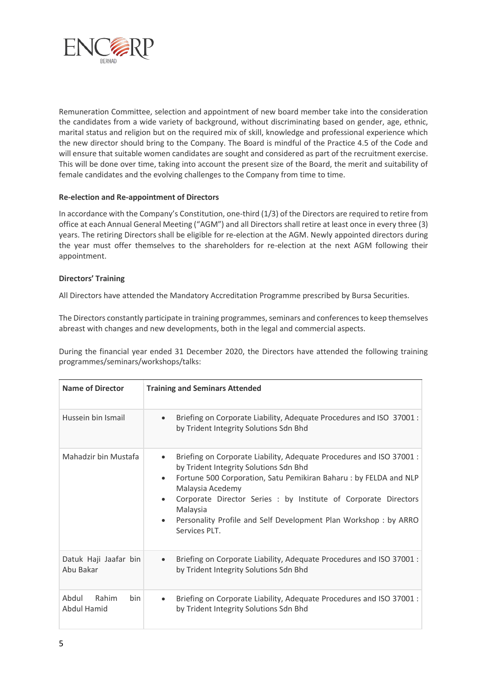

Remuneration Committee, selection and appointment of new board member take into the consideration the candidates from a wide variety of background, without discriminating based on gender, age, ethnic, marital status and religion but on the required mix of skill, knowledge and professional experience which the new director should bring to the Company. The Board is mindful of the Practice 4.5 of the Code and will ensure that suitable women candidates are sought and considered as part of the recruitment exercise. This will be done over time, taking into account the present size of the Board, the merit and suitability of female candidates and the evolving challenges to the Company from time to time.

#### **Re-election and Re-appointment of Directors**

In accordance with the Company's Constitution, one-third (1/3) of the Directors are required to retire from office at each Annual General Meeting ("AGM") and all Directors shall retire at least once in every three (3) years. The retiring Directors shall be eligible for re-election at the AGM. Newly appointed directors during the year must offer themselves to the shareholders for re-election at the next AGM following their appointment.

#### **Directors' Training**

All Directors have attended the Mandatory Accreditation Programme prescribed by Bursa Securities.

The Directors constantly participate in training programmes, seminars and conferences to keep themselves abreast with changes and new developments, both in the legal and commercial aspects.

During the financial year ended 31 December 2020, the Directors have attended the following training programmes/seminars/workshops/talks:

| <b>Name of Director</b>                     | <b>Training and Seminars Attended</b>                                                                                                                                                                                                                                                                                                                                                                |
|---------------------------------------------|------------------------------------------------------------------------------------------------------------------------------------------------------------------------------------------------------------------------------------------------------------------------------------------------------------------------------------------------------------------------------------------------------|
| Hussein bin Ismail                          | Briefing on Corporate Liability, Adequate Procedures and ISO 37001 :<br>$\bullet$<br>by Trident Integrity Solutions Sdn Bhd                                                                                                                                                                                                                                                                          |
| Mahadzir bin Mustafa                        | Briefing on Corporate Liability, Adequate Procedures and ISO 37001 :<br>$\bullet$<br>by Trident Integrity Solutions Sdn Bhd<br>Fortune 500 Corporation, Satu Pemikiran Baharu: by FELDA and NLP<br>Malaysia Acedemy<br>Corporate Director Series : by Institute of Corporate Directors<br>Malaysia<br>Personality Profile and Self Development Plan Workshop : by ARRO<br>$\bullet$<br>Services PLT. |
| Datuk Haji Jaafar bin<br>Abu Bakar          | Briefing on Corporate Liability, Adequate Procedures and ISO 37001 :<br>$\bullet$<br>by Trident Integrity Solutions Sdn Bhd                                                                                                                                                                                                                                                                          |
| Abdul<br>Rahim<br><b>bin</b><br>Abdul Hamid | Briefing on Corporate Liability, Adequate Procedures and ISO 37001 :<br>$\bullet$<br>by Trident Integrity Solutions Sdn Bhd                                                                                                                                                                                                                                                                          |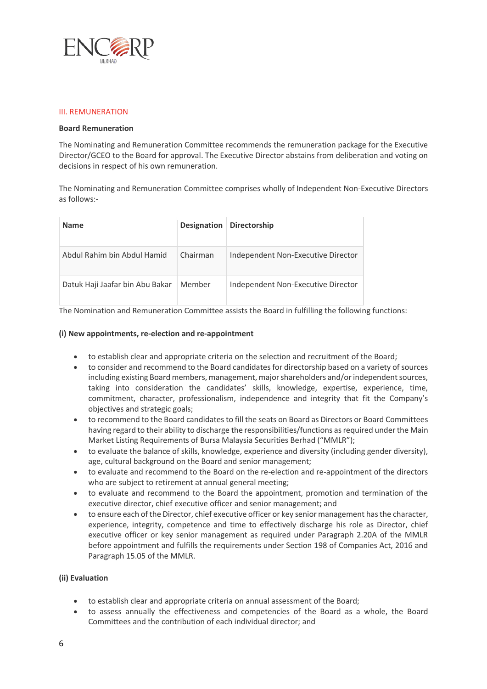

#### III. REMUNERATION

#### **Board Remuneration**

The Nominating and Remuneration Committee recommends the remuneration package for the Executive Director/GCEO to the Board for approval. The Executive Director abstains from deliberation and voting on decisions in respect of his own remuneration.

The Nominating and Remuneration Committee comprises wholly of Independent Non-Executive Directors as follows:-

| <b>Name</b>                     |          | Designation Directorship           |
|---------------------------------|----------|------------------------------------|
| Abdul Rahim bin Abdul Hamid     | Chairman | Independent Non-Executive Director |
| Datuk Haji Jaafar bin Abu Bakar | Member   | Independent Non-Executive Director |

The Nomination and Remuneration Committee assists the Board in fulfilling the following functions:

#### **(i) New appointments, re-election and re-appointment**

- to establish clear and appropriate criteria on the selection and recruitment of the Board;
- to consider and recommend to the Board candidates for directorship based on a variety of sources including existing Board members, management, major shareholders and/or independent sources, taking into consideration the candidates' skills, knowledge, expertise, experience, time, commitment, character, professionalism, independence and integrity that fit the Company's objectives and strategic goals;
- to recommend to the Board candidates to fill the seats on Board as Directors or Board Committees having regard to their ability to discharge the responsibilities/functions as required under the Main Market Listing Requirements of Bursa Malaysia Securities Berhad ("MMLR");
- to evaluate the balance of skills, knowledge, experience and diversity (including gender diversity), age, cultural background on the Board and senior management;
- to evaluate and recommend to the Board on the re-election and re-appointment of the directors who are subject to retirement at annual general meeting;
- to evaluate and recommend to the Board the appointment, promotion and termination of the executive director, chief executive officer and senior management; and
- to ensure each of the Director, chief executive officer or key senior management has the character, experience, integrity, competence and time to effectively discharge his role as Director, chief executive officer or key senior management as required under Paragraph 2.20A of the MMLR before appointment and fulfills the requirements under Section 198 of Companies Act, 2016 and Paragraph 15.05 of the MMLR.

#### **(ii) Evaluation**

- to establish clear and appropriate criteria on annual assessment of the Board;
- to assess annually the effectiveness and competencies of the Board as a whole, the Board Committees and the contribution of each individual director; and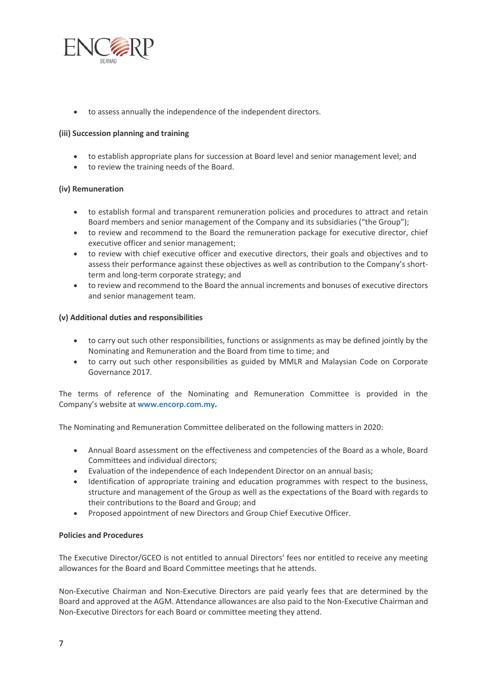

to assess annually the independence of the independent directors.

#### **(iii) Succession planning and training**

- to establish appropriate plans for succession at Board level and senior management level; and
- to review the training needs of the Board.

#### **(iv) Remuneration**

- to establish formal and transparent remuneration policies and procedures to attract and retain Board members and senior management of the Company and its subsidiaries ("the Group");
- to review and recommend to the Board the remuneration package for executive director, chief executive officer and senior management;
- to review with chief executive officer and executive directors, their goals and objectives and to assess their performance against these objectives as well as contribution to the Company's shortterm and long-term corporate strategy; and
- to review and recommend to the Board the annual increments and bonuses of executive directors and senior management team.

#### **(v) Additional duties and responsibilities**

- to carry out such other responsibilities, functions or assignments as may be defined jointly by the Nominating and Remuneration and the Board from time to time; and
- to carry out such other responsibilities as guided by MMLR and Malaysian Code on Corporate Governance 2017.

The terms of reference of the Nominating and Remuneration Committee is provided in the Company's website at **[www.encorp.com.my.](http://www.encorp.com.my/)**

The Nominating and Remuneration Committee deliberated on the following matters in 2020:

- Annual Board assessment on the effectiveness and competencies of the Board as a whole, Board Committees and individual directors;
- Evaluation of the independence of each Independent Director on an annual basis;
- Identification of appropriate training and education programmes with respect to the business, structure and management of the Group as well as the expectations of the Board with regards to their contributions to the Board and Group; and
- Proposed appointment of new Directors and Group Chief Executive Officer.

#### **Policies and Procedures**

The Executive Director/GCEO is not entitled to annual Directors' fees nor entitled to receive any meeting allowances for the Board and Board Committee meetings that he attends.

Non-Executive Chairman and Non-Executive Directors are paid yearly fees that are determined by the Board and approved at the AGM. Attendance allowances are also paid to the Non-Executive Chairman and Non-Executive Directors for each Board or committee meeting they attend.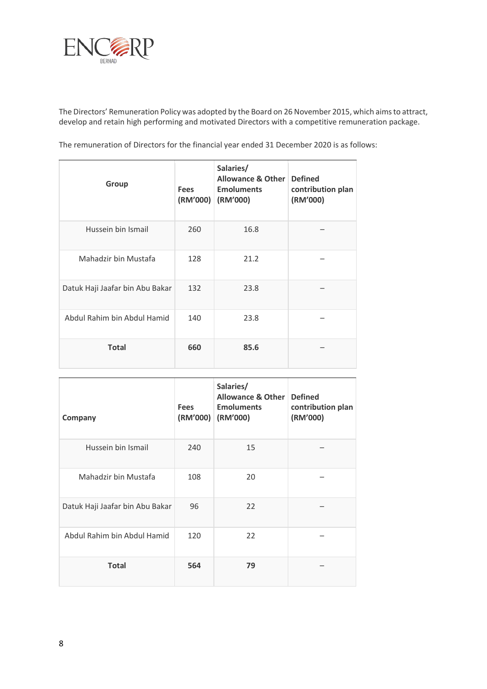

The Directors' Remuneration Policy was adopted by the Board on 26 November 2015, which aims to attract, develop and retain high performing and motivated Directors with a competitive remuneration package.

The remuneration of Directors for the financial year ended 31 December 2020 is as follows:

| Group                           | <b>Fees</b><br>(RM'000) | Salaries/<br><b>Allowance &amp; Other</b><br><b>Emoluments</b><br>(RM'000) | <b>Defined</b><br>contribution plan<br>(RM'000) |
|---------------------------------|-------------------------|----------------------------------------------------------------------------|-------------------------------------------------|
| Hussein bin Ismail              | 260                     | 16.8                                                                       |                                                 |
| Mahadzir bin Mustafa            | 128                     | 21.2                                                                       |                                                 |
| Datuk Haji Jaafar bin Abu Bakar | 132                     | 23.8                                                                       |                                                 |
| Abdul Rahim bin Abdul Hamid     | 140                     | 23.8                                                                       |                                                 |
| <b>Total</b>                    | 660                     | 85.6                                                                       |                                                 |

| Company                         | <b>Fees</b><br>(RM'000) | Salaries/<br>Allowance & Other<br><b>Emoluments</b><br>(RM'000) | <b>Defined</b><br>contribution plan<br>(RM'000) |
|---------------------------------|-------------------------|-----------------------------------------------------------------|-------------------------------------------------|
| Hussein bin Ismail              | 240                     | 15                                                              |                                                 |
| Mahadzir bin Mustafa            | 108                     | 20                                                              |                                                 |
| Datuk Haji Jaafar bin Abu Bakar | 96                      | 22                                                              |                                                 |
| Abdul Rahim bin Abdul Hamid     | 120                     | 22                                                              |                                                 |
| <b>Total</b>                    | 564                     | 79                                                              |                                                 |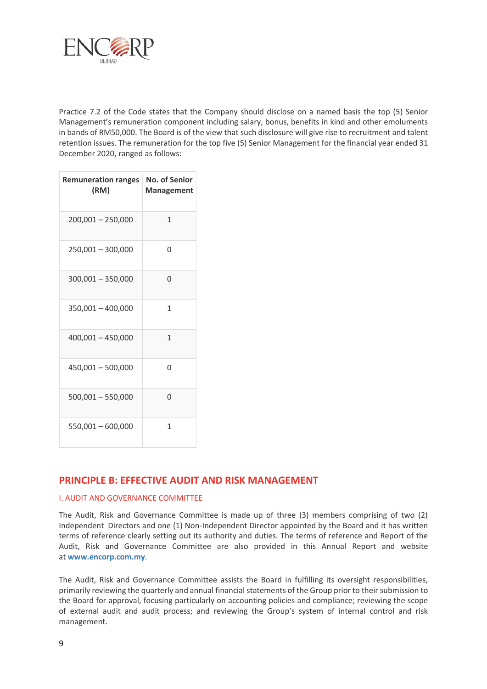

Practice 7.2 of the Code states that the Company should disclose on a named basis the top (5) Senior Management's remuneration component including salary, bonus, benefits in kind and other emoluments in bands of RM50,000. The Board is of the view that such disclosure will give rise to recruitment and talent retention issues. The remuneration for the top five (5) Senior Management for the financial year ended 31 December 2020, ranged as follows:

| <b>Remuneration ranges</b><br>(RM) | <b>No. of Senior</b><br><b>Management</b> |
|------------------------------------|-------------------------------------------|
| $200,001 - 250,000$                | 1                                         |
| $250,001 - 300,000$                | 0                                         |
| $300,001 - 350,000$                | U                                         |
| $350,001 - 400,000$                | 1                                         |
| $400,001 - 450,000$                | 1                                         |
| $450,001 - 500,000$                | U                                         |
| $500,001 - 550,000$                | U                                         |
| 550,001 - 600,000                  | 1                                         |

## **PRINCIPLE B: EFFECTIVE AUDIT AND RISK MANAGEMENT**

#### I. AUDIT AND GOVERNANCE COMMITTEE

The Audit, Risk and Governance Committee is made up of three (3) members comprising of two (2) Independent Directors and one (1) Non-Independent Director appointed by the Board and it has written terms of reference clearly setting out its authority and duties. The terms of reference and Report of the Audit, Risk and Governance Committee are also provided in this Annual Report and website at **[www.encorp.com.my](http://www.encorp.com.my/)**.

The Audit, Risk and Governance Committee assists the Board in fulfilling its oversight responsibilities, primarily reviewing the quarterly and annual financial statements of the Group prior to their submission to the Board for approval, focusing particularly on accounting policies and compliance; reviewing the scope of external audit and audit process; and reviewing the Group's system of internal control and risk management.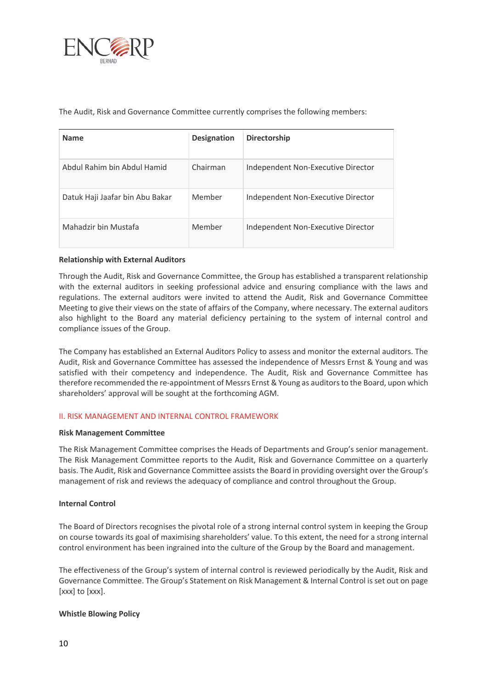

The Audit, Risk and Governance Committee currently comprises the following members:

| <b>Name</b>                     | <b>Designation</b> | Directorship                       |
|---------------------------------|--------------------|------------------------------------|
| Abdul Rahim bin Abdul Hamid     | Chairman           | Independent Non-Executive Director |
| Datuk Haji Jaafar bin Abu Bakar | Member             | Independent Non-Executive Director |
| Mahadzir bin Mustafa            | Member             | Independent Non-Executive Director |

#### **Relationship with External Auditors**

Through the Audit, Risk and Governance Committee, the Group has established a transparent relationship with the external auditors in seeking professional advice and ensuring compliance with the laws and regulations. The external auditors were invited to attend the Audit, Risk and Governance Committee Meeting to give their views on the state of affairs of the Company, where necessary. The external auditors also highlight to the Board any material deficiency pertaining to the system of internal control and compliance issues of the Group.

The Company has established an External Auditors Policy to assess and monitor the external auditors. The Audit, Risk and Governance Committee has assessed the independence of Messrs Ernst & Young and was satisfied with their competency and independence. The Audit, Risk and Governance Committee has therefore recommended the re-appointment of Messrs Ernst & Young as auditors to the Board, upon which shareholders' approval will be sought at the forthcoming AGM.

#### II. RISK MANAGEMENT AND INTERNAL CONTROL FRAMEWORK

#### **Risk Management Committee**

The Risk Management Committee comprises the Heads of Departments and Group's senior management. The Risk Management Committee reports to the Audit, Risk and Governance Committee on a quarterly basis. The Audit, Risk and Governance Committee assists the Board in providing oversight over the Group's management of risk and reviews the adequacy of compliance and control throughout the Group.

#### **Internal Control**

The Board of Directors recognises the pivotal role of a strong internal control system in keeping the Group on course towards its goal of maximising shareholders' value. To this extent, the need for a strong internal control environment has been ingrained into the culture of the Group by the Board and management.

The effectiveness of the Group's system of internal control is reviewed periodically by the Audit, Risk and Governance Committee. The Group's Statement on Risk Management & Internal Control is set out on page [xxx] to [xxx].

#### **Whistle Blowing Policy**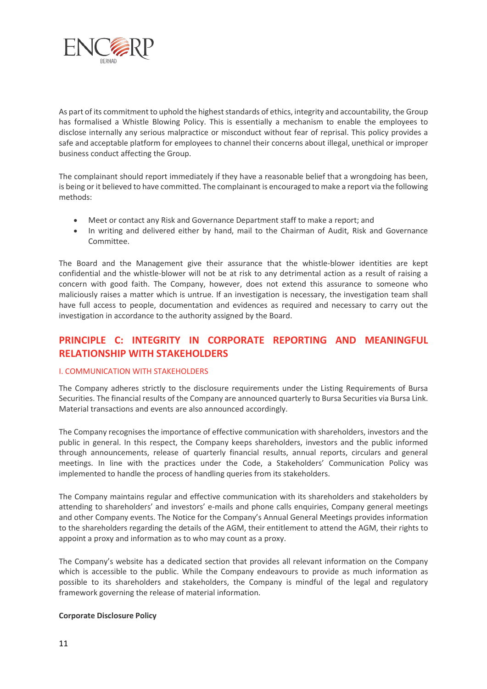

As part of its commitment to uphold the highest standards of ethics, integrity and accountability, the Group has formalised a Whistle Blowing Policy. This is essentially a mechanism to enable the employees to disclose internally any serious malpractice or misconduct without fear of reprisal. This policy provides a safe and acceptable platform for employees to channel their concerns about illegal, unethical or improper business conduct affecting the Group.

The complainant should report immediately if they have a reasonable belief that a wrongdoing has been, is being or it believed to have committed. The complainant is encouraged to make a report via the following methods:

- Meet or contact any Risk and Governance Department staff to make a report; and
- In writing and delivered either by hand, mail to the Chairman of Audit, Risk and Governance Committee.

The Board and the Management give their assurance that the whistle-blower identities are kept confidential and the whistle-blower will not be at risk to any detrimental action as a result of raising a concern with good faith. The Company, however, does not extend this assurance to someone who maliciously raises a matter which is untrue. If an investigation is necessary, the investigation team shall have full access to people, documentation and evidences as required and necessary to carry out the investigation in accordance to the authority assigned by the Board.

# **PRINCIPLE C: INTEGRITY IN CORPORATE REPORTING AND MEANINGFUL RELATIONSHIP WITH STAKEHOLDERS**

#### I. COMMUNICATION WITH STAKEHOLDERS

The Company adheres strictly to the disclosure requirements under the Listing Requirements of Bursa Securities. The financial results of the Company are announced quarterly to Bursa Securities via Bursa Link. Material transactions and events are also announced accordingly.

The Company recognises the importance of effective communication with shareholders, investors and the public in general. In this respect, the Company keeps shareholders, investors and the public informed through announcements, release of quarterly financial results, annual reports, circulars and general meetings. In line with the practices under the Code, a Stakeholders' Communication Policy was implemented to handle the process of handling queries from its stakeholders.

The Company maintains regular and effective communication with its shareholders and stakeholders by attending to shareholders' and investors' e-mails and phone calls enquiries, Company general meetings and other Company events. The Notice for the Company's Annual General Meetings provides information to the shareholders regarding the details of the AGM, their entitlement to attend the AGM, their rights to appoint a proxy and information as to who may count as a proxy.

The Company's website has a dedicated section that provides all relevant information on the Company which is accessible to the public. While the Company endeavours to provide as much information as possible to its shareholders and stakeholders, the Company is mindful of the legal and regulatory framework governing the release of material information.

#### **Corporate Disclosure Policy**